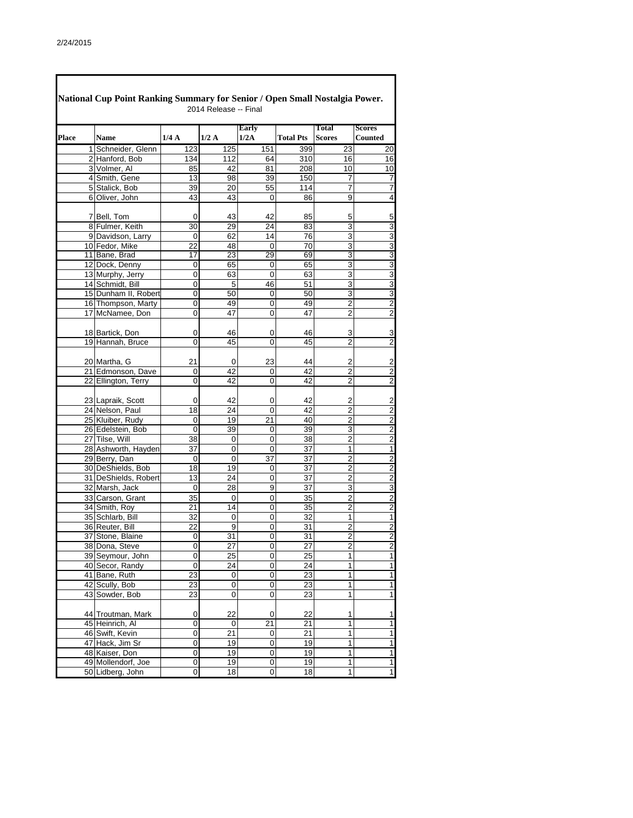|              | National Cup Point Ranking Summary for Senior / Open Small Nostalgia Power. |                | 2014 Release -- Final |                 |                  |                               |                          |
|--------------|-----------------------------------------------------------------------------|----------------|-----------------------|-----------------|------------------|-------------------------------|--------------------------|
| <b>Place</b> | <b>Name</b>                                                                 | 1/4A           | 1/2A                  | Early<br>1/2A   | <b>Total Pts</b> | <b>Total</b><br><b>Scores</b> | <b>Scores</b><br>Counted |
|              | 1 Schneider, Glenn                                                          | 123            | 125                   | 151             | 399              | 23                            | 20                       |
|              | 2 Hanford, Bob                                                              | 134            | 112                   | 64              | 310              | 16                            | 16                       |
|              | 3 Volmer, Al                                                                | 85             | 42                    | 81              | 208              | 10                            | 10                       |
|              | 4 Smith, Gene                                                               | 13             | 98                    | 39              | 150              | 7                             | 7                        |
|              | 5 Stalick, Bob                                                              | 39             | 20                    | $\overline{55}$ | 114              | 7                             | 7                        |
|              | 6 Oliver, John                                                              | 43             | 43                    | 0               | 86               | 9                             | $\overline{4}$           |
|              | 7 Bell, Tom                                                                 | 0              | 43                    | 42              | 85               |                               |                          |
|              | 8 Fulmer, Keith                                                             | 30             | 29                    | 24              | 83               | 5<br>3                        | 5<br>$\overline{3}$      |
|              | 9 Davidson, Larry                                                           | 0              | 62                    | 14              | 76               | 3                             | 3                        |
|              | 10 Fedor, Mike                                                              | 22             | 48                    | 0               | $\overline{70}$  | 3                             |                          |
|              | 11 Bane, Brad                                                               | 17             | 23                    | 29              | 69               | 3                             | $\frac{3}{3}$            |
|              | 12 Dock, Denny                                                              | 0              | 65                    | 0               | 65               | 3                             |                          |
|              | 13 Murphy, Jerry                                                            | 0              | 63                    | 0               | 63               | 3                             |                          |
|              | 14 Schmidt, Bill                                                            | 0              | 5                     | 46              | 51               | 3                             | $\overline{3}$           |
|              | 15 Dunham II, Robert                                                        | 0              | 50                    | 0               | 50               | 3                             | $\overline{3}$           |
|              |                                                                             |                |                       |                 | 49               | $\overline{2}$                | $\overline{2}$           |
|              | 16 Thompson, Marty<br>17 McNamee, Don                                       | 0              | 49<br>47              | 0<br>0          | 47               | $\overline{2}$                | $\overline{2}$           |
|              |                                                                             | 0              |                       |                 |                  |                               |                          |
|              | 18 Bartick, Don                                                             | 0              | 46                    | 0               | 46               | 3                             | 3                        |
|              | 19 Hannah, Bruce                                                            | 0              | 45                    | 0               | 45               | $\overline{2}$                | $\overline{2}$           |
|              | 20 Martha, G                                                                | 21             | 0                     | 23              | 44               | 2                             | $\overline{\mathbf{c}}$  |
|              | 21 Edmonson, Dave                                                           | 0              | 42                    | 0               | 42               | $\overline{2}$                | $\overline{2}$           |
|              | 22 Ellington, Terry                                                         | 0              | 42                    | 0               | 42               | 2                             | $\overline{\mathbf{c}}$  |
|              | 23 Lapraik, Scott                                                           | 0              | 42                    | 0               | 42               | 2                             | $\overline{\mathbf{c}}$  |
|              | 24 Nelson, Paul                                                             | 18             | 24                    | 0               | 42               | $\overline{2}$                | $\overline{2}$           |
|              | 25 Kluiber, Rudy                                                            | 0              | 19                    | 21              | 40               | $\overline{2}$                | $\overline{2}$           |
|              | 26 Edelstein, Bob                                                           | $\overline{0}$ | 39                    | 0               | 39               | 3                             | $\overline{c}$           |
|              | 27 Tilse, Will                                                              | 38             | 0                     | 0               | 38               | 2                             | $\overline{2}$           |
|              | 28 Ashworth, Hayden                                                         | 37             | $\overline{0}$        | 0               | $\overline{37}$  | 1                             | $\overline{1}$           |
|              | 29 Berry, Dan                                                               | 0              | 0                     | 37              | 37               | 2                             | $\overline{2}$           |
|              | 30 DeShields, Bob                                                           | 18             | 19                    | 0               | $\overline{37}$  | $\overline{2}$                |                          |
|              | 31 DeShields, Robert                                                        | 13             | 24                    | 0               | 37               | 2                             | $\frac{2}{2}$            |
|              | 32 Marsh, Jack                                                              | $\mathbf 0$    | 28                    | $\overline{9}$  | $\overline{37}$  | 3                             | 3                        |
|              | 33 Carson, Grant                                                            | 35             | 0                     | 0               | 35               | 2                             | $\overline{2}$           |
|              | 34 Smith, Roy                                                               | 21             | 14                    | 0               | 35               | $\overline{2}$                |                          |
|              | 35 Schlarb, Bill                                                            | 32             | $\mathbf 0$           | 0               | 32               | 1                             | $\frac{2}{1}$            |
|              | 36 Reuter, Bill                                                             | 22             | 9                     | 0               | 31               | $\overline{c}$                | $\overline{2}$           |
|              | 37 Stone, Blaine                                                            | $\mathbf 0$    | 31                    | $\overline{0}$  | 31               | $\overline{2}$                | $\overline{c}$           |
|              | 38 Dona, Steve                                                              | 0              | 27                    | 0               | 27               | $\overline{2}$                | $\overline{\mathbf{c}}$  |
|              | 39 Seymour, John                                                            | 0              | 25                    | 0               | 25               | 1                             | $\overline{1}$           |
|              | 40 Secor, Randy                                                             | 0              | 24                    | 0               | 24               | 1                             | $\overline{1}$           |
|              | 41 Bane, Ruth                                                               | 23             | 0                     | 0               | $\overline{23}$  | 1                             | $\overline{\mathbf{1}}$  |
|              | 42 Scully, Bob                                                              | 23             | 0                     | 0               | 23               | 1                             | $\overline{1}$           |
|              | 43 Sowder, Bob                                                              | 23             | 0                     | 0               | $\overline{23}$  | 1                             | $\overline{1}$           |
|              | 44 Troutman, Mark                                                           | 0              | 22                    | 0               | 22               | 1                             | $\mathbf{1}$             |
|              | 45 Heinrich, Al                                                             | 0              | 0                     | 21              | 21               | 1                             | $\overline{1}$           |
|              | 46 Swift, Kevin                                                             | 0              | 21                    | 0               | 21               | 1                             | $\overline{1}$           |
|              | 47 Hack, Jim Sr                                                             | 0              | 19                    | 0               | 19               | 1                             | $\overline{\mathbf{1}}$  |
|              | 48 Kaiser, Don                                                              | 0              | 19                    | 0               | 19               | 1                             | $\overline{\mathbf{1}}$  |
|              | 49 Mollendorf, Joe                                                          | 0              | 19                    | 0               | 19               | 1                             | $\overline{\mathbf{1}}$  |
|              | 50 Lidberg, John                                                            | 0              | 18                    | 0               | 18               | 1                             | $\overline{1}$           |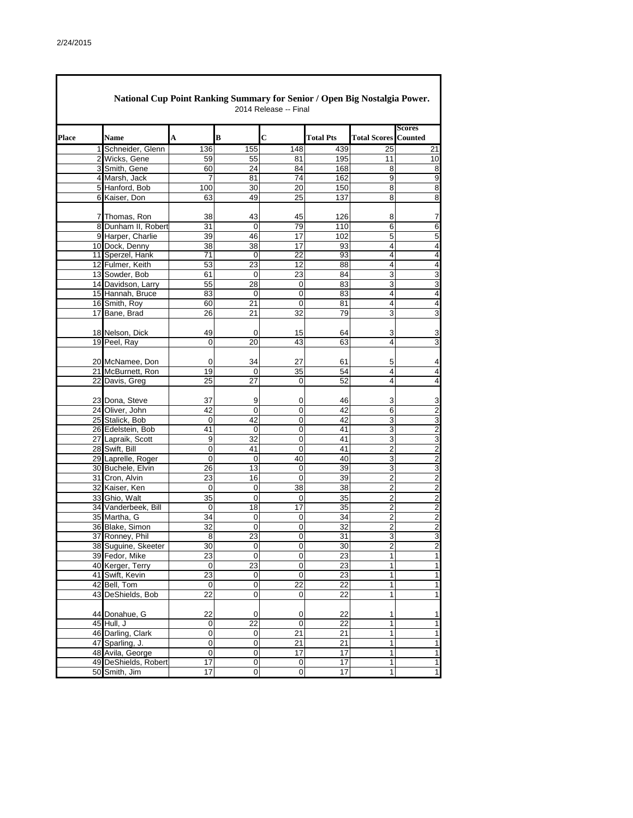|              | National Cup Point Ranking Summary for Senior / Open Big Nostalgia Power. |                  |                      | 2014 Release -- Final   |                       |                                    |                                 |
|--------------|---------------------------------------------------------------------------|------------------|----------------------|-------------------------|-----------------------|------------------------------------|---------------------------------|
| <b>Place</b> | Name                                                                      | A                | B                    | $\overline{c}$          | <b>Total Pts</b>      | <b>Total Scores</b>                | <b>Scores</b><br><b>Counted</b> |
|              | 1 Schneider, Glenn                                                        | 136              | 155                  | 148                     | 439                   | 25                                 | 21                              |
|              | 2 Wicks, Gene                                                             | 59               | 55                   | 81                      | 195                   | 11                                 | 10                              |
|              | 3 Smith, Gene                                                             | 60               | 24                   | 84                      | 168                   | 8                                  | 8                               |
|              | 4 Marsh, Jack                                                             | 7                | 81                   | 74                      | 162                   | 9                                  | 9                               |
|              | 5 Hanford, Bob                                                            | 100              | 30                   | $\overline{20}$         | 150                   | 8                                  | 8                               |
|              | 6 Kaiser, Don                                                             | 63               | 49                   | 25                      | 137                   | 8                                  | 8                               |
|              | 7 Thomas, Ron                                                             | 38               | 43                   | 45                      | 126                   | 8                                  | 7                               |
|              | 8 Dunham II, Robert                                                       | 31               | 0                    | 79                      | 110                   | 6                                  | 6                               |
|              | 9 Harper, Charlie                                                         | 39               | 46                   | 17                      | 102                   | 5                                  | 5                               |
|              | 10 Dock, Denny                                                            | 38               | 38                   | 17                      | 93                    | $\overline{4}$                     | 4                               |
|              | 11 Sperzel, Hank                                                          | 71               | 0                    | $\overline{22}$         | 93                    | 4                                  | 4                               |
|              | 12 Fulmer, Keith                                                          | 53               | 23                   | 12                      | 88                    | $\overline{4}$                     | $\overline{4}$                  |
|              | 13 Sowder, Bob                                                            | 61               | 0                    | 23                      | 84                    | 3                                  | 3                               |
|              | 14 Davidson, Larry<br>15 Hannah, Bruce                                    | 55               | 28                   | 0                       | 83                    | 3<br>4                             | 3                               |
|              | 16 Smith, Roy                                                             | 83               | 0<br>21              | 0<br>0                  | 83                    | 4                                  | 4<br>4                          |
|              | 17 Bane, Brad                                                             | 60<br>26         | 21                   | 32                      | 81<br>79              | 3                                  | 3                               |
|              |                                                                           |                  |                      |                         |                       |                                    |                                 |
|              | 18 Nelson, Dick<br>19 Peel, Ray                                           | 49<br>0          | 0<br>20              | 15<br>43                | 64<br>63              | 3<br>$\overline{4}$                | 3<br>$\overline{3}$             |
|              | 20 McNamee, Don                                                           | 0                | 34                   | 27                      | 61                    | 5                                  | 4                               |
|              | 21 McBurnett, Ron                                                         | 19               | $\mathbf 0$          | 35                      | 54                    | 4                                  | 4                               |
|              | 22 Davis, Greg                                                            | 25               | 27                   | 0                       | 52                    | 4                                  | 4                               |
|              | 23 Dona, Steve                                                            | 37               | 9                    | 0                       | 46                    | 3                                  | 3                               |
|              | 24 Oliver, John                                                           | 42               | 0                    | 0                       | 42                    | 6                                  | $\overline{c}$                  |
|              | 25 Stalick, Bob                                                           | 0                | 42                   | 0                       | 42                    | 3                                  | 3                               |
|              | 26 Edelstein, Bob                                                         | 41               | 0                    | 0                       | 41                    | 3                                  | $\overline{c}$                  |
|              | 27 Lapraik, Scott                                                         | 9                | 32                   | 0                       | 41                    | 3                                  | 3                               |
|              | 28 Swift, Bill                                                            | 0                | 41                   | 0                       | 41                    | $\overline{2}$                     | $\overline{c}$                  |
|              | 29 Laprelle, Roger                                                        | 0                | $\mathbf 0$          | 40                      | 40                    | 3                                  | $\overline{2}$                  |
|              | 30 Buchele, Elvin                                                         | 26               | 13                   | $\overline{0}$          | 39                    | $\overline{3}$                     | 3                               |
|              | 31 Cron, Alvin                                                            | 23               | 16                   | 0                       | 39                    | 2                                  | $\overline{\mathbf{c}}$         |
|              | 32 Kaiser, Ken                                                            | 0                | 0                    | 38                      | 38                    | $\overline{2}$                     | $\overline{2}$                  |
|              | 33 Ghio, Walt                                                             | 35               | 0                    | 0                       | 35                    | $\overline{\mathbf{c}}$            | $\overline{\mathbf{c}}$         |
|              | 34 Vanderbeek, Bill                                                       | 0                | 18                   | 17                      | 35                    | $\boldsymbol{2}$<br>$\overline{2}$ | $\overline{2}$                  |
|              | 35 Martha, G<br>36 Blake, Simon                                           | 34               | 0                    | 0                       | 34                    |                                    | $\overline{\mathbf{c}}$         |
|              | 37 Ronney, Phil                                                           | 32<br>8          | 0<br>$\overline{23}$ | 0<br>0                  | 32<br>$\overline{31}$ | 2<br>3                             | $\overline{c}$<br>3             |
|              | 38 Suguine, Skeeter                                                       | 30               | 0                    | 0                       | 30                    | $\overline{2}$                     | $\overline{\mathbf{c}}$         |
|              | 39 Fedor, Mike                                                            | 23               | 0                    | 0                       | 23                    | $\mathbf{1}$                       | 1                               |
|              | 40 Kerger, Terry                                                          | 0                | 23                   | $\boldsymbol{0}$        | 23                    | $\mathbf{1}$                       | 1                               |
|              | 41 Swift, Kevin                                                           | $\overline{23}$  | $\pmb{0}$            | $\overline{0}$          | $\overline{23}$       | $\overline{1}$                     | 1                               |
|              | 42 Bell, Tom                                                              | 0                | 0                    | 22                      | 22                    | 1                                  | 1                               |
|              | 43 DeShields, Bob                                                         | 22               | 0                    | 0                       | 22                    | $\mathbf{1}$                       | $\mathbf{1}$                    |
|              | 44 Donahue, G                                                             | 22               | 0                    | 0                       | 22                    | 1                                  | 1                               |
|              | 45 Hull, J                                                                | 0                | 22                   | 0                       | 22                    | $\mathbf{1}$                       | 1                               |
|              | 46 Darling, Clark                                                         | $\pmb{0}$        | 0                    | 21                      | 21                    | $\mathbf{1}$                       | 1                               |
|              | 47 Sparling, J.                                                           | 0                | 0                    | 21                      | 21                    | 1                                  | 1                               |
|              | 48 Avila, George                                                          | $\boldsymbol{0}$ | 0                    | $\overline{17}$         | 17                    | $\overline{1}$                     | 1                               |
|              | 49 DeShields, Robert                                                      | 17               | 0                    | $\pmb{0}$               | 17                    | 1                                  | 1                               |
|              | 50 Smith, Jim                                                             | 17               | $\overline{0}$       | $\overline{\mathbf{0}}$ | $\overline{17}$       | $\overline{1}$                     | 1                               |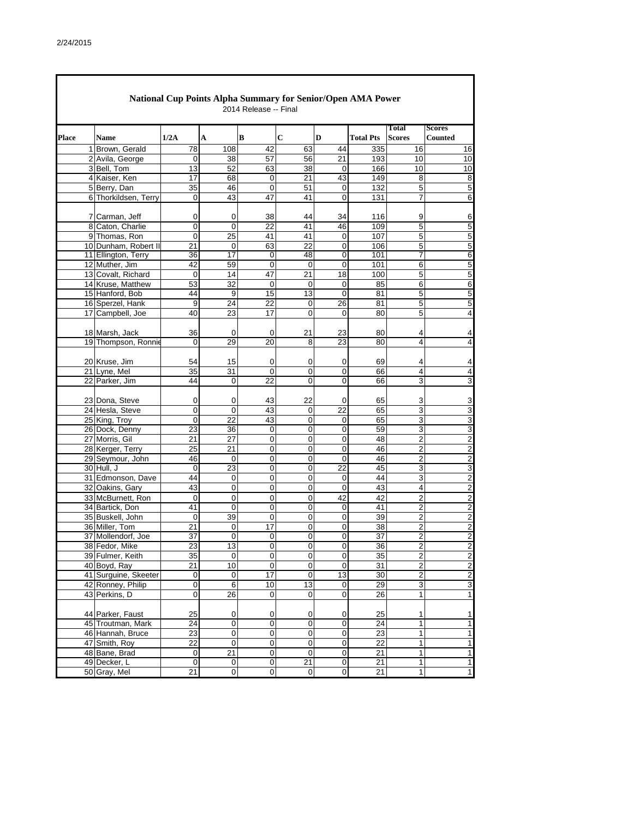|              |                                           |                     | National Cup Points Alpha Summary for Senior/Open AMA Power | 2014 Release -- Final |                 |                   |                  |                        |                          |
|--------------|-------------------------------------------|---------------------|-------------------------------------------------------------|-----------------------|-----------------|-------------------|------------------|------------------------|--------------------------|
| <b>Place</b> | Name                                      | 1/2A                | A                                                           | B                     | С               | D                 | <b>Total Pts</b> | Total<br><b>Scores</b> | <b>Scores</b><br>Counted |
|              | 1 Brown, Gerald                           | 78                  | 108                                                         | 42                    | 63              | 44                | 335              | 16                     | 16                       |
|              | 2 Avila, George                           | 0                   | 38                                                          | 57                    | 56              | 21                | 193              | 10                     | 10                       |
|              | 3 Bell, Tom                               | 13                  | 52                                                          | 63                    | 38              | $\mathbf 0$       | 166              | 10                     | 10                       |
|              | 4 Kaiser, Ken                             | 17                  | 68                                                          | 0                     | 21              | 43                | 149              | 8                      | 8                        |
|              | 5 Berry, Dan                              | $\overline{35}$     | 46                                                          | $\overline{0}$        | 51              | $\mathbf 0$       | 132              | 5                      | 5                        |
|              | 6 Thorkildsen, Terry                      | 0                   | 43                                                          | 47                    | 41              | 0                 | 131              | 7                      | 6                        |
|              |                                           |                     |                                                             | 38                    |                 |                   |                  |                        |                          |
|              | 7 Carman, Jeff<br>8 Caton, Charlie        | 0<br>$\overline{0}$ | 0<br>$\Omega$                                               | 22                    | 44<br>41        | 34<br>46          | 116<br>109       | 9<br>5                 | 6<br>5                   |
|              | 9 Thomas, Ron                             | 0                   | 25                                                          | 41                    | 41              | 0                 | 107              | 5                      | 5                        |
|              | 10 Dunham, Robert II                      | 21                  | 0                                                           | 63                    | $\overline{22}$ | 0                 | 106              | 5                      | 5                        |
|              | 11 Ellington, Terry                       | 36                  | 17                                                          | 0                     | 48              | 0                 | 101              | 7                      | 6                        |
|              | 12 Muther, Jim                            | 42                  | 59                                                          | 0                     | 0               | 0                 | 101              | 6                      | 5                        |
|              | 13 Covalt, Richard                        | 0                   | 14                                                          | 47                    | 21              | 18                | 100              | 5                      | 5                        |
|              | 14 Kruse, Matthew                         | 53                  | 32                                                          | 0                     | 0               | 0                 | 85               | 6                      | 6                        |
|              | 15 Hanford, Bob                           | 44                  | 9                                                           | 15                    | 13              | $\overline{0}$    | 81               | 5                      | 5                        |
|              | 16 Sperzel, Hank                          | 9                   | 24                                                          | 22                    | 0               | 26                | 81               | 5                      | 5                        |
|              | 17 Campbell, Joe                          | 40                  | 23                                                          | 17                    | 0               | 0                 | 80               | 5                      | 4                        |
|              |                                           |                     |                                                             |                       |                 |                   |                  |                        |                          |
|              | 18 Marsh, Jack                            | 36                  | 0                                                           | 0                     | 21              | 23                | 80               | 4                      | 4                        |
|              | 19 Thompson, Ronnie                       | 0                   | 29                                                          | 20                    | 8               | 23                | 80               | 4                      | 4                        |
|              |                                           |                     |                                                             |                       |                 |                   |                  |                        |                          |
|              | 20 Kruse, Jim<br>21 Lyne, Mel             | 54<br>35            | 15<br>31                                                    | 0<br>0                | 0               | 0<br>0            | 69               | 4<br>4                 | 4                        |
|              | 22 Parker, Jim                            | 44                  | 0                                                           | $\overline{22}$       | 0<br>0          | 0                 | 66<br>66         | 3                      | 4<br>3                   |
|              |                                           |                     |                                                             |                       |                 |                   |                  |                        |                          |
|              | 23 Dona, Steve                            | 0                   | 0                                                           | 43                    | 22              | 0                 | 65               | 3                      | 3                        |
|              | 24 Hesla, Steve                           | 0                   | 0                                                           | 43                    | 0               | $\overline{22}$   | 65               | 3                      | 3                        |
|              | 25 King, Troy                             | 0                   | 22                                                          | 43                    | 0               | 0                 | 65               | 3                      | 3                        |
|              | 26 Dock, Denny                            | 23                  | 36                                                          | 0                     | 0               | 0                 | 59               | 3                      | 3                        |
|              | 27 Morris, Gil                            | 21                  | 27                                                          | 0                     | 0               | 0                 | 48               | 2                      | $\overline{2}$           |
|              | 28 Kerger, Terry                          | $\overline{25}$     | 21                                                          | 0                     | 0               | $\overline{0}$    | 46               | $\overline{2}$         | $\overline{2}$           |
|              | 29 Seymour, John                          | 46                  | 0                                                           | 0                     | 0               | 0                 | 46               | 2                      | $\overline{c}$           |
|              | 30 Hull, J                                | $\mathbf 0$         | $\overline{23}$                                             | 0                     | 0               | 22                | 45               | 3                      | 3                        |
|              | 31 Edmonson, Dave                         | 44                  | 0                                                           | 0                     | 0               | 0                 | 44               | 3                      | $\overline{c}$           |
|              | 32 Oakins, Gary                           | 43                  | $\overline{0}$                                              | 0                     | 0               | 0                 | 43               | 4                      | $\overline{c}$           |
|              | 33 McBurnett, Ron                         | 0                   | $\mathsf 0$                                                 | 0                     | $\mathbf 0$     | 42                | 42               | $\overline{c}$         | $\overline{\mathbf{c}}$  |
|              | 34 Bartick, Don                           | 41                  | $\overline{0}$                                              | 0                     | 0               | 0                 | 41               | 2                      | $\overline{\mathbf{c}}$  |
|              | 35 Buskell, John                          | 0                   | 39                                                          | 0                     | $\mathbf 0$     | $\mathbf 0$       | 39               | $\overline{2}$         | $\overline{\mathbf{c}}$  |
|              | 36 Miller, Tom                            | 21                  | 0                                                           | 17                    | 0               | 0                 | 38               | 2                      | $\overline{c}$           |
|              | 37 Mollendorf, Joe                        | $\overline{37}$     | 0                                                           | 0                     | 0               | $\mathbf 0$       | $\overline{37}$  | $\mathbf{p}$           | $\overline{c}$           |
|              | 38 Fedor, Mike                            | 23                  | 13                                                          | 0                     | $\mathbf 0$     | 0                 | 36               | $\overline{2}$         | $\overline{2}$           |
|              | 39 Fulmer, Keith                          | 35                  | 0                                                           | 0                     | 0               | 0                 | 35               | $\overline{2}$         | $\overline{c}$           |
|              | 40 Boyd, Ray                              | 21                  | 10                                                          | 0                     | 0               | 0                 | 31               | $\boldsymbol{2}$       | $\overline{c}$           |
|              | 41 Surguine, Skeeter<br>42 Ronney, Philip | 0<br>0              | $\mathsf{O}\xspace$                                         | 17<br>10              | $\pmb{0}$<br>13 | 13<br>$\mathbf 0$ | 30<br>29         | $\boldsymbol{2}$<br>3  | $\overline{2}$           |
|              | 43 Perkins, D                             | 0                   | 6<br>26                                                     | 0                     | 0               | 0                 | 26               | 1                      | 3<br>1                   |
|              |                                           |                     |                                                             |                       |                 |                   |                  |                        |                          |
|              | 44 Parker, Faust                          | 25                  | 0                                                           | 0                     | 0               | 0                 | 25               | 1                      | 1                        |
|              | 45 Troutman, Mark                         | 24                  | $\mathsf 0$                                                 | 0                     | 0               | 0                 | 24               | 1                      | 1                        |
|              | 46 Hannah, Bruce                          | 23                  | 0                                                           | 0                     | 0               | 0                 | 23               | 1                      | 1                        |
|              | 47 Smith, Roy                             | 22                  | 0                                                           | 0                     | 0               | 0                 | 22               | 1                      | 1                        |
|              | 48 Bane, Brad                             | $\overline{0}$      | $\overline{21}$                                             | $\overline{0}$        | $\overline{0}$  | $\overline{0}$    | 21               | 1                      | $\mathbf{1}$             |
|              | 49 Decker, L                              | 0                   | $\mathsf{O}\xspace$                                         | 0                     | 21              | $\overline{0}$    | 21               | 1                      | $\mathbf{1}$             |
|              | 50 Gray, Mel                              | $\overline{21}$     | $\overline{0}$                                              | $\overline{0}$        | $\pmb{0}$       | $\overline{0}$    | $\overline{21}$  | 1                      | $\mathbf{1}$             |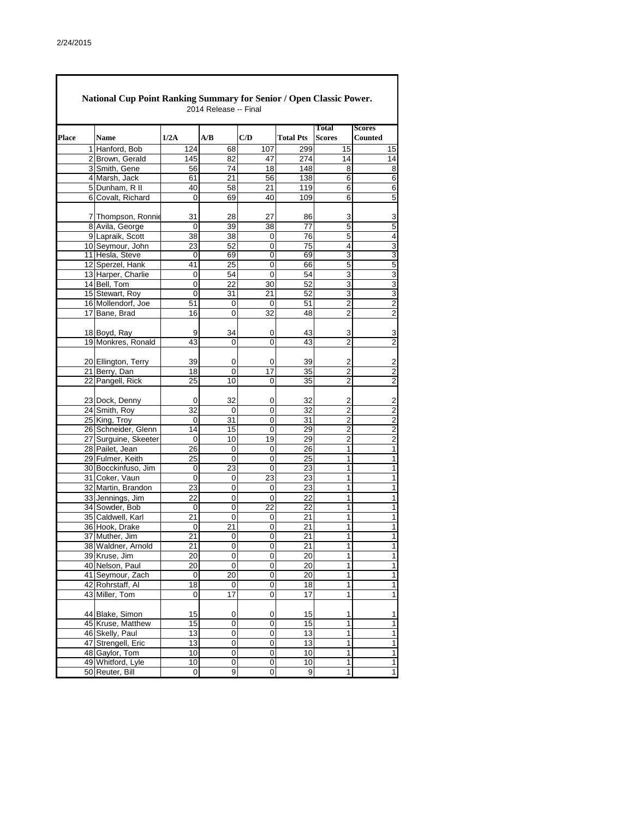|       | National Cup Point Ranking Summary for Senior / Open Classic Power. |                 | 2014 Release -- Final |                |                  |                               |                                  |  |
|-------|---------------------------------------------------------------------|-----------------|-----------------------|----------------|------------------|-------------------------------|----------------------------------|--|
| Place | <b>Name</b>                                                         | 1/2A            | A/B                   | C/D            | <b>Total Pts</b> | <b>Total</b><br><b>Scores</b> | <b>Scores</b><br><b>Counted</b>  |  |
|       | 1 Hanford, Bob                                                      | 124             | 68                    | 107            | 299              | 15                            | 15                               |  |
|       | 2 Brown, Gerald                                                     | 145             | 82                    | 47             | 274              | 14                            | 14                               |  |
|       | 3 Smith, Gene                                                       | 56              | 74                    | 18             | 148              | 8                             | 8                                |  |
|       | 4 Marsh, Jack                                                       | 61              | 21                    | 56             | 138              | 6                             | 6                                |  |
|       | 5 Dunham, R II                                                      | 40              | 58                    | 21             | 119              | 6                             | 6                                |  |
|       | 6 Covalt, Richard                                                   | 0               | 69                    | 40             | 109              | 6                             | 5                                |  |
|       | 7 Thompson, Ronnie                                                  | 31              | 28                    | 27             | 86               | 3                             | 3                                |  |
|       | 8 Avila, George                                                     | 0               | 39                    | 38             | $\overline{77}$  | $\overline{5}$                | 5                                |  |
|       | 9 Lapraik, Scott                                                    | 38              | 38                    | 0              | 76               | 5                             | 4                                |  |
|       | 10 Seymour, John                                                    | 23              | 52                    | 0              | $\overline{75}$  | 4                             | 3                                |  |
|       | 11 Hesla, Steve                                                     | 0               | 69                    | 0              | 69               | 3                             | 3                                |  |
|       | 12 Sperzel, Hank                                                    | 41              | 25                    | 0              | 66               | 5                             | 5                                |  |
|       | 13 Harper, Charlie                                                  | 0               | 54                    | 0              | 54               | 3                             | 3                                |  |
|       | 14 Bell, Tom                                                        | 0               | 22                    | 30             | 52               | 3                             | 3                                |  |
|       | 15 Stewart, Roy                                                     | 0               | 31                    | 21             | 52               | 3                             | 3                                |  |
|       | 16 Mollendorf, Joe                                                  | 51              | 0                     | 0              | 51               | $\overline{\mathbf{c}}$       | $\overline{c}$                   |  |
|       | 17 Bane, Brad                                                       | 16              | 0                     | 32             | 48               | $\overline{2}$                | $\overline{\mathbf{c}}$          |  |
|       |                                                                     |                 |                       |                |                  |                               |                                  |  |
|       | 18 Boyd, Ray                                                        | 9               | 34                    | 0              | 43               | 3                             | 3                                |  |
|       | 19 Monkres, Ronald                                                  | 43              | 0                     | 0              | 43               | $\overline{2}$                | $\overline{c}$                   |  |
|       |                                                                     |                 |                       |                |                  |                               |                                  |  |
|       | 20 Ellington, Terry                                                 | 39<br>18        | 0<br>0                | 0<br>17        | 39               | 2                             | $\overline{c}$<br>$\overline{2}$ |  |
|       | 21 Berry, Dan<br>22 Pangell, Rick                                   | 25              | 10                    | 0              | 35<br>35         | 2<br>2                        | 2                                |  |
|       |                                                                     |                 |                       |                |                  |                               |                                  |  |
|       | 23 Dock, Denny                                                      | 0               | 32                    | 0              | 32               | 2                             | 2                                |  |
|       | 24 Smith, Roy                                                       | 32              | 0                     | 0              | 32               | 2                             | $\boldsymbol{2}$                 |  |
|       | 25 King, Troy                                                       | 0               | 31                    | 0              | 31               | $\overline{2}$                | $\overline{c}$                   |  |
|       | 26 Schneider, Glenn                                                 | 14              | 15                    | 0              | 29               | $\overline{2}$                | $\overline{2}$                   |  |
|       | 27 Surguine, Skeeter                                                | 0               | 10                    | 19             | 29               | 2                             | $\overline{c}$                   |  |
|       | 28 Pailet, Jean                                                     | 26              | 0                     | 0              | 26               | 1                             | $\overline{1}$                   |  |
|       | 29 Fulmer, Keith                                                    | 25              | 0                     | 0              | 25               | 1                             | 1                                |  |
|       | 30 Bocckinfuso, Jim                                                 | 0               | 23                    | 0              | $\overline{23}$  | 1                             | $\mathbf{1}$                     |  |
|       | 31 Coker, Vaun                                                      | 0               | 0                     | 23             | 23               | 1                             | 1                                |  |
|       | 32 Martin, Brandon                                                  | 23              | 0                     | 0              | $\overline{23}$  | $\mathbf{1}$                  | $\overline{1}$                   |  |
|       | 33 Jennings, Jim                                                    | 22              | 0                     | 0              | 22               | 1                             | 1                                |  |
|       | 34 Sowder, Bob                                                      | 0               | 0                     | 22             | 22               | 1                             | 1                                |  |
|       | 35 Caldwell, Karl                                                   | 21              | 0                     | 0              | 21               | 1                             | $\mathbf{1}$                     |  |
|       | 36 Hook, Drake                                                      | 0               | 21                    | 0              | 21               | 1                             | 1                                |  |
|       | 37 Muther, Jim                                                      | $\overline{21}$ | 0                     | 0              | $\overline{21}$  | 1                             | 1                                |  |
|       | 38 Waldner, Arnold                                                  | 21              | 0                     | 0              | 21               | 1                             | 1                                |  |
|       | 39 Kruse, Jim                                                       | 20              | 0                     | 0              | 20               | 1                             | $\overline{1}$                   |  |
|       | 40 Nelson, Paul                                                     | 20<br>$\pmb{0}$ | 0<br>20               | 0<br>0         | 20<br>20         | 1<br>$\overline{1}$           | 1<br>$\overline{1}$              |  |
|       | 41 Seymour, Zach<br>42 Rohrstaff, Al                                | 18              | 0                     | 0              | 18               | 1                             | 1                                |  |
|       | 43 Miller, Tom                                                      | 0               | 17                    | 0              | 17               | 1                             | $\mathbf{1}$                     |  |
|       |                                                                     |                 |                       |                |                  |                               |                                  |  |
|       | 44 Blake, Simon                                                     | 15              | 0                     | 0              | 15               | 1                             | 1                                |  |
|       | 45 Kruse, Matthew                                                   | 15              | 0                     | 0              | 15               | $\mathbf{1}$                  | 1                                |  |
|       | 46 Skelly, Paul                                                     | 13              | 0                     | 0              | 13               | $\mathbf{1}$                  | 1                                |  |
|       | 47 Strengell, Eric                                                  | 13              | 0                     | 0              | 13               | 1                             | 1                                |  |
|       | 48 Gaylor, Tom                                                      | 10              | 0                     | 0              | 10               | $\overline{1}$                | $\overline{1}$                   |  |
|       | 49 Whitford, Lyle                                                   | 10              | 0                     | 0              | 10               | 1                             | 1                                |  |
|       | 50 Reuter, Bill                                                     | $\pmb{0}$       | 9                     | $\overline{0}$ | 9                | $\overline{1}$                | $\overline{\mathbf{1}}$          |  |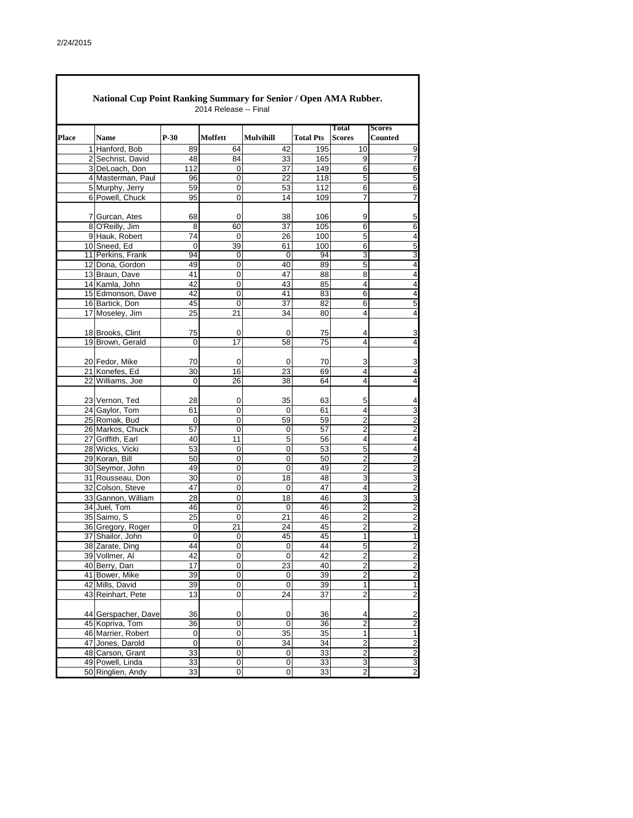$\mathsf \Gamma$ 

|              |                                       |             | 2014 Release -- Final |                  |                  |                               |                          |
|--------------|---------------------------------------|-------------|-----------------------|------------------|------------------|-------------------------------|--------------------------|
| <b>Place</b> | Name                                  | $P-30$      | Moffett               | <b>Mulvihill</b> | <b>Total Pts</b> | <b>Total</b><br><b>Scores</b> | <b>Scores</b><br>Counted |
|              | 1 Hanford, Bob                        | 89          | 64                    | 42               | 195              | 10                            | 9                        |
|              | 2 Sechrist, David                     | 48          | 84                    | 33               | 165              | 9                             | 7                        |
|              | 3 DeLoach, Don                        | 112         | 0                     | $\overline{37}$  | 149              | $\overline{6}$                | 6                        |
|              | 4 Masterman, Paul                     | 96          | 0                     | 22               | 118              | 5                             | 5                        |
|              | 5 Murphy, Jerry                       | 59          | 0                     | 53               | 112              | 6                             | 6                        |
|              | 6 Powell, Chuck                       | 95          | 0                     | 14               | 109              | 7                             | 7                        |
|              | 7 Gurcan, Ates                        | 68          | 0                     | 38               | 106              | 9                             | 5                        |
|              | 8 O'Reilly, Jim                       | 8           | 60                    | $\overline{37}$  | 105              | $\overline{6}$                | 6                        |
|              | 9 Hauk, Robert                        | 74          | 0                     | 26               | 100              | 5                             | 4                        |
|              | 10 Sneed, Ed                          | 0           | 39                    | 61               | 100              | 6                             | 5                        |
|              | 11 Perkins, Frank                     | 94          | 0                     | 0                | 94               | 3                             | 3                        |
|              | 12 Dona, Gordon                       | 49          | 0                     | 40               | 89               | 5                             | 4                        |
|              | 13 Braun, Dave                        | 41          | 0                     | 47               | 88               | 8                             | 4                        |
|              | 14 Kamla, John                        | 42          | 0                     | 43               | 85               | 4                             | 4                        |
|              | 15 Edmonson, Dave                     | 42          | 0                     | 41               | 83               | 6                             | $\overline{4}$           |
|              | 16 Bartick, Don                       | 45          | 0                     | 37               | 82               | 6                             | 5                        |
|              | 17 Moseley, Jim                       | 25          | 21                    | 34               | 80               | 4                             | 4                        |
|              | 18 Brooks, Clint                      | 75          | 0                     | 0                | 75               | 4                             | 3                        |
|              | 19 Brown, Gerald                      | $\mathbf 0$ | 17                    | 58               | 75               | 4                             | 4                        |
|              |                                       |             |                       |                  |                  |                               |                          |
|              | 20 Fedor, Mike                        | 70          | 0                     | 0                | 70               | 3                             | 3                        |
|              | 21 Konefes, Ed                        | 30          | 16                    | 23               | 69               | 4                             | 4                        |
|              | 22 Williams, Joe                      | 0           | 26                    | 38               | 64               | 4                             | 4                        |
|              | 23 Vernon, Ted                        | 28          | 0                     | 35               | 63               | 5                             | 4                        |
|              | 24 Gaylor, Tom                        | 61          | 0                     | 0                | 61               | 4                             | 3                        |
|              | 25 Romak, Bud                         | 0           | 0                     | 59               | 59               | $\overline{2}$                | 2                        |
|              |                                       | 57          | $\mathbf 0$           | 0                | $\overline{57}$  | $\overline{2}$                | $\overline{2}$           |
|              | 26 Markos, Chuck<br>27 Griffith, Earl | 40          | 11                    | 5                | 56               | 4                             |                          |
|              |                                       | 53          |                       | 0                |                  | 5                             | 4                        |
|              | 28 Wicks, Vicki                       |             | 0                     |                  | 53               |                               | $\overline{4}$           |
|              | 29 Koran, Bill                        | 50          | 0                     | 0                | 50               | 2                             | $\overline{c}$           |
|              | 30 Seymor, John                       | 49          | 0                     | 0                | 49               | $\overline{2}$                | $\overline{c}$           |
|              | 31 Rousseau, Don                      | 30          | 0                     | 18               | 48               | 3                             | 3                        |
|              | 32 Colson, Steve                      | 47          | 0                     | 0                | 47               | 4                             | $\overline{\mathbf{c}}$  |
|              | 33 Gannon, William                    | 28          | 0                     | 18               | 46               | 3                             | 3                        |
|              | 34 Juel, Tom                          | 46          | 0                     | 0                | 46               | 2                             | $\overline{c}$           |
|              | 35 Saimo, S                           | 25          | 0                     | 21               | 46               | $\overline{2}$                | $\overline{c}$           |
|              | 36 Gregory, Roger                     | 0           | 21                    | 24               | 45               | 2                             | $\overline{\mathbf{c}}$  |
|              | 37 Shailor, John                      | 0           | 0                     | 45               | 45               | 1                             | 1                        |
|              | 38 Zarate. Ding                       | 44          | 0                     | $\overline{0}$   | 44               | 5                             | $\overline{2}$           |
|              | 39 Vollmer, Al                        | 42          | $\mathbf 0$           | $\mathbf 0$      | 42               | $\overline{2}$                | $\overline{2}$           |
|              | 40 Berry, Dan                         | 17          | 0                     | 23               | 40               | $\overline{2}$                | $\overline{c}$           |
|              | 41 Bower, Mike                        | 39          | 0                     | 0                | 39               | $\overline{2}$                | $\overline{\mathbf{c}}$  |
|              | 42 Mills, David                       | 39          | 0                     | $\overline{0}$   | 39               | $\overline{1}$                | $\overline{1}$           |
|              | 43 Reinhart, Pete                     | 13          | 0                     | 24               | 37               | $\overline{2}$                | $\overline{\mathbf{c}}$  |
|              | 44 Gerspacher, Dave                   | 36          | 0                     | 0                | 36               | 4                             | $\overline{\mathbf{c}}$  |
|              | 45 Kopriva, Tom                       | 36          | 0                     | 0                | 36               | $\overline{2}$                | $\overline{\mathbf{c}}$  |
|              | 46 Marrier, Robert                    | 0           | 0                     | 35               | 35               | 1                             | $\mathbf{1}$             |
|              | 47 Jones, Darold                      | 0           | 0                     | 34               | 34               | $\overline{c}$                | $\overline{c}$           |
|              | 48 Carson, Grant                      | 33          | $\overline{0}$        | $\pmb{0}$        | 33               | $\overline{2}$                | $\overline{c}$           |
|              | 49 Powell, Linda                      | 33          | 0                     | 0                | 33               | 3                             | 3                        |
|              | 50 Ringlien, Andy                     | 33          | 0                     | $\mathbf 0$      | 33               | $\overline{2}$                | $\overline{c}$           |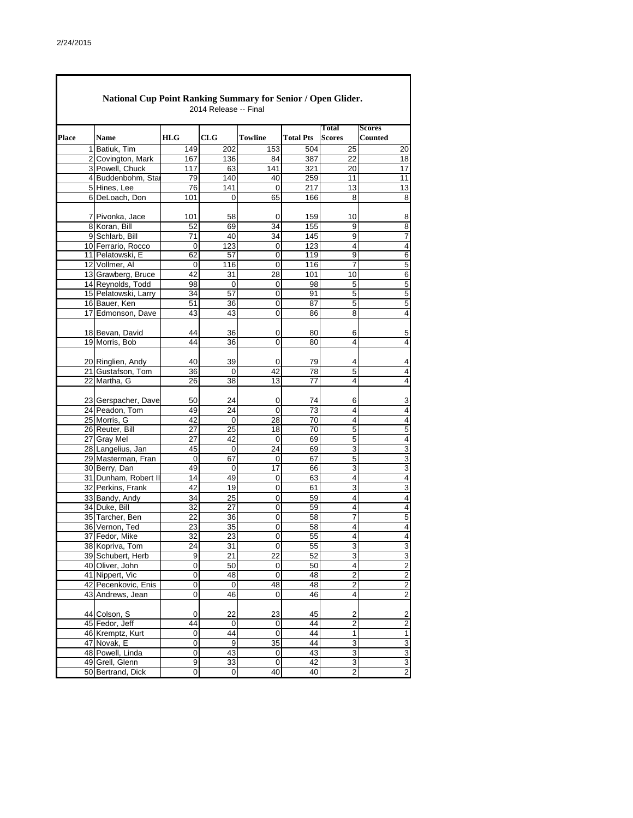|              | National Cup Point Ranking Summary for Senior / Open Glider. |             | 2014 Release -- Final |                   |                  |                                  |                                 |
|--------------|--------------------------------------------------------------|-------------|-----------------------|-------------------|------------------|----------------------------------|---------------------------------|
| <b>Place</b> | <b>Name</b>                                                  | <b>HLG</b>  | CLG                   | <b>Towline</b>    | <b>Total Pts</b> | Total<br><b>Scores</b>           | <b>Scores</b><br><b>Counted</b> |
|              | 1 Batiuk, Tim                                                | 149         | 202                   | 153               | 504              | 25                               | 20                              |
|              | 2 Covington, Mark                                            | 167         | 136                   | 84                | 387              | 22                               | 18                              |
|              | 3 Powell, Chuck                                              | 117         | 63                    | 141               | 321              | 20                               | 17                              |
|              | 4 Buddenbohm, Star                                           | 79          | 140                   | 40                | 259              | 11                               | 11                              |
|              | 5 Hines, Lee                                                 | 76          | 141                   | 0                 | 217              | 13                               | 13                              |
|              | 6 DeLoach, Don                                               | 101         | 0                     | 65                | 166              | 8                                | 8                               |
|              | 7 Pivonka, Jace                                              | 101         | 58                    | 0                 | 159              | 10                               | 8                               |
|              | 8 Koran, Bill                                                | 52          | 69                    | 34                | 155              | 9                                | 8                               |
|              | 9 Schlarb, Bill                                              | 71          | 40                    | 34                | 145              | 9                                | 7                               |
|              | 10 Ferrario, Rocco                                           | $\mathbf 0$ | $\overline{123}$      | $\mathbf 0$       | 123              | 4                                | $\overline{4}$                  |
|              | 11 Pelatowski, E                                             | 62          | 57                    | 0                 | 119              | 9                                | 6                               |
|              | 12 Vollmer, Al                                               | $\mathbf 0$ | 116                   | $\mathbf 0$       | 116              | 7                                | 5                               |
|              | 13 Grawberg, Bruce                                           | 42          | 31                    | 28                | 101              | 10                               | 6                               |
|              | 14 Reynolds, Todd                                            | 98          | 0                     | 0                 | 98               | 5                                | 5                               |
|              | 15 Pelatowski, Larry                                         | 34          | 57                    | 0                 | 91               | 5                                | 5                               |
|              | 16 Bauer, Ken                                                | 51          | 36                    | 0                 | 87               | 5                                | 5                               |
|              | 17 Edmonson, Dave                                            | 43          | 43                    | 0                 | 86               | 8                                | 4                               |
|              | 18 Bevan, David                                              |             |                       |                   |                  |                                  |                                 |
|              | 19 Morris, Bob                                               | 44<br>44    | 36<br>36              | 0<br>0            | 80<br>80         | 6<br>4                           | 5<br>4                          |
|              |                                                              |             |                       |                   |                  |                                  |                                 |
|              | 20 Ringlien, Andy                                            | 40          | 39                    | 0                 | 79               | 4                                | 4                               |
|              | 21 Gustafson, Tom                                            | 36          | $\boldsymbol{0}$      | 42                | 78               | 5                                | 4                               |
|              | 22 Martha, G                                                 | 26          | 38                    | 13                | 77               | 4                                | 4                               |
|              |                                                              |             |                       |                   |                  |                                  |                                 |
|              | 23 Gerspacher, Dave                                          | 50          | 24                    | 0                 | 74               | 6                                | 3                               |
|              | 24 Peadon, Tom<br>25 Morris, G                               | 49<br>42    | 24<br>$\mathbf 0$     | $\mathbf 0$<br>28 | 73<br>70         | 4<br>4                           | $\overline{4}$<br>4             |
|              | 26 Reuter, Bill                                              | 27          | 25                    | 18                | 70               | 5                                | 5                               |
|              | 27 Gray Mel                                                  | 27          | 42                    | 0                 | 69               | 5                                | 4                               |
|              | 28 Langelius, Jan                                            | 45          | $\mathbf 0$           | 24                | 69               | 3                                | 3                               |
|              | 29 Masterman, Fran                                           | 0           | 67                    | 0                 | 67               | 5                                | 3                               |
|              | 30 Berry, Dan                                                | 49          | $\mathbf 0$           | $\overline{17}$   | 66               | 3                                | 3                               |
|              | 31 Dunham, Robert II                                         | 14          | 49                    | 0                 | 63               | 4                                | 4                               |
|              | 32 Perkins, Frank                                            | 42          | 19                    | $\mathbf 0$       | 61               | 3                                | 3                               |
|              | 33 Bandy, Andy                                               | 34          | 25                    | 0                 | 59               | 4                                | 4                               |
|              | 34 Duke, Bill                                                | 32          | 27                    | 0                 | 59               | 4                                | $\overline{4}$                  |
|              | 35 Tarcher, Ben                                              | 22          | 36                    | 0                 | 58               | $\overline{7}$                   | 5                               |
|              | 36 Vernon, Ted                                               | 23          | 35                    | 0                 | 58               | 4                                | 4                               |
|              | 37 Fedor, Mike                                               | 32          | 23                    | 0                 | 55               | 4                                | Δ                               |
|              | 38 Kopriva, Tom                                              | 24          | 31                    | 0                 | 55               | 3                                | 3                               |
|              | 39 Schubert, Herb                                            | 9           | 21                    | 22                | 52               | 3                                | 3                               |
|              | 40 Oliver, John                                              | 0           | 50                    | 0                 | 50               | 4                                | $\overline{c}$                  |
|              | 41 Nippert, Vic<br>42 Pecenkovic, Enis                       | 0<br>0      | 48                    | 0                 | 48               | $\overline{2}$<br>$\overline{c}$ | $\overline{2}$                  |
|              | 43 Andrews, Jean                                             | 0           | 0<br>46               | 48<br>0           | 48<br>46         | 4                                | 2<br>$\overline{\mathbf{c}}$    |
|              |                                                              |             |                       |                   |                  |                                  |                                 |
|              | 44 Colson, S                                                 | 0           | 22                    | 23                | 45               | 2                                | $\overline{\mathbf{c}}$         |
|              | 45 Fedor, Jeff                                               | 44          | 0                     | 0                 | 44               | $\overline{c}$                   | $\overline{\mathbf{c}}$         |
|              | 46 Kremptz, Kurt                                             | 0           | 44                    | 0                 | 44               | 1                                | 1                               |
|              | 47 Novak, E                                                  | 0           | 9                     | 35                | 44               | 3                                | 3                               |
|              | 48 Powell, Linda                                             | 0           | 43                    | 0                 | 43               | $\overline{3}$                   | 3                               |
|              | 49 Grell, Glenn                                              | 9           | 33                    | 0                 | 42               | 3                                | 3                               |
|              | 50 Bertrand, Dick                                            | $\mathbf 0$ | $\pmb{0}$             | 40                | 40               | $\overline{2}$                   | $\overline{\mathbf{c}}$         |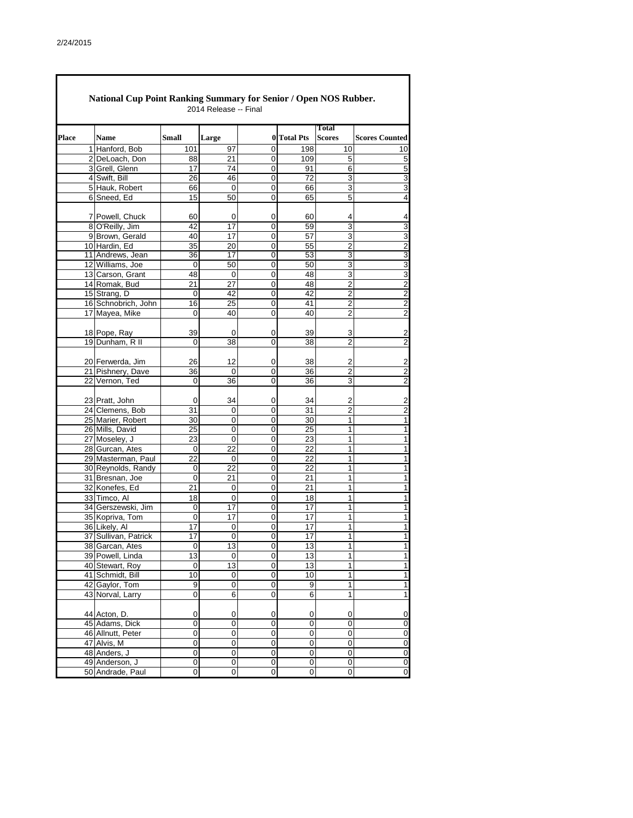$\Gamma$ 

|              | <b>National Cup Point Ranking Summary for Senior / Open NOS Rubber.</b> |           | 2014 Release -- Final |                |                     |                               |                         |
|--------------|-------------------------------------------------------------------------|-----------|-----------------------|----------------|---------------------|-------------------------------|-------------------------|
| <b>Place</b> | <b>Name</b>                                                             | Small     | Large                 |                | 0 Total Pts         | <b>Total</b><br><b>Scores</b> | <b>Scores Counted</b>   |
|              | 1 Hanford, Bob                                                          | 101       | 97                    | 0              | 198                 | 10                            | 10                      |
|              | 2 DeLoach, Don                                                          | 88        | 21                    | 0              | 109                 | 5                             | 5                       |
|              | 3 Grell, Glenn                                                          | 17        | 74                    | 0              | 91                  | 6                             | 5                       |
|              | 4 Swift, Bill                                                           | 26        | 46                    | $\mathbf 0$    | 72                  | 3                             | 3                       |
|              | 5 Hauk, Robert                                                          | 66        | 0                     | 0              | 66                  | 3                             | 3                       |
|              | 6 Sneed, Ed                                                             | 15        | 50                    | 0              | 65                  | $\overline{5}$                | 4                       |
|              | 7 Powell, Chuck                                                         | 60        | 0                     | 0              | 60                  | 4                             | 4                       |
|              | 8 O'Reilly, Jim                                                         | 42        | 17                    | 0              | 59                  | 3                             | 3                       |
|              | 9 Brown, Gerald                                                         | 40        | 17                    | 0              | 57                  | 3                             | $\overline{3}$          |
|              | 10 Hardin, Ed                                                           | 35        | 20                    | 0              | 55                  | $\overline{2}$                | $\overline{2}$          |
|              | 11 Andrews, Jean                                                        | 36        | 17                    | 0              | 53                  | 3                             | $\overline{3}$          |
|              | 12 Williams, Joe                                                        | 0         | 50                    | 0              | 50                  | 3                             | 3                       |
|              | 13 Carson, Grant                                                        | 48        | $\mathbf 0$           | 0              | 48                  | 3                             | $\overline{3}$          |
|              | 14 Romak, Bud                                                           | 21        | 27                    | 0              | 48                  | $\overline{2}$                | $\overline{2}$          |
|              | 15 Strang, D                                                            | 0         | 42                    | 0              | 42                  | $\overline{\mathbf{c}}$       | $\overline{2}$          |
|              | 16 Schnobrich, John                                                     | 16        | 25                    | 0              | 41                  | $\overline{c}$                | $\overline{\mathbf{c}}$ |
|              | 17 Mayea, Mike                                                          | 0         | 40                    | 0              | 40                  | $\overline{\mathbf{c}}$       | $\overline{2}$          |
|              | 18 Pope, Ray                                                            | 39        | 0                     | 0              | 39                  | 3                             | $\overline{\mathbf{c}}$ |
|              | 19 Dunham, R II                                                         | 0         | 38                    | 0              | 38                  | 2                             | $\mathbf 2$             |
|              |                                                                         |           |                       |                |                     |                               |                         |
|              | 20 Ferwerda, Jim                                                        | 26        | 12                    | 0              | 38                  | 2                             | $\overline{c}$          |
|              | 21 Pishnery, Dave                                                       | 36        | $\mathbf 0$           | 0              | 36                  | $\overline{2}$                | $\mathbf 2$             |
|              | 22 Vernon, Ted                                                          | 0         | 36                    | 0              | 36                  | 3                             | $\boldsymbol{2}$        |
|              | 23 Pratt, John                                                          | 0         | 34                    | 0              | 34                  | 2                             | $\overline{\mathbf{c}}$ |
|              | 24 Clemens, Bob                                                         | 31        | 0                     | 0              | 31                  | 2                             | $\overline{2}$          |
|              | 25 Marier, Robert                                                       | 30        | 0                     | 0              | 30                  | 1                             | $\overline{1}$          |
|              | 26 Mills, David                                                         | 25        | 0                     | 0              | 25                  | 1                             | 1                       |
|              | 27 Moseley, J                                                           | 23        | 0                     | 0              | 23                  | 1                             | 1                       |
|              | 28 Gurcan, Ates                                                         | 0         | 22                    | 0              | 22                  | 1                             | 1                       |
|              | 29 Masterman, Paul                                                      | 22        | 0                     | 0              | 22                  | 1                             | 1                       |
|              | 30 Reynolds, Randy                                                      | 0         | 22                    | 0              | 22                  | 1                             | $\mathbf{1}$            |
|              | 31 Bresnan, Joe                                                         | 0         | 21                    | 0              | 21                  | 1                             | 1                       |
|              | 32 Konefes, Ed                                                          | 21        | 0                     | 0              | 21                  | 1                             | 1                       |
|              | 33 Timco, Al                                                            | 18        | 0                     | 0              | 18                  | 1                             | 1                       |
|              | 34 Gerszewski, Jim                                                      | 0         | 17                    | 0              | 17                  | 1                             | 1                       |
|              | 35 Kopriva, Tom                                                         | 0         | 17                    | 0              | 17                  | 1                             | $\mathbf{1}$            |
|              | 36 Likely, Al                                                           | 17        | 0                     | 0              | 17                  | 1                             | 1                       |
|              | 37 Sullivan, Patrick                                                    | 17        | 0                     | 0              | 17                  | 1                             | $\mathbf{1}$            |
|              | 38 Garcan, Ates                                                         | 0         | 13                    | $\overline{0}$ | 13                  | 1                             | 1                       |
|              | 39 Powell, Linda                                                        | 13        | $\overline{0}$        | 0              | 13                  | 1                             | 1                       |
|              | 40 Stewart, Roy                                                         | $\pmb{0}$ | $\overline{a}$        | 0              | 13                  | 1                             | $\overline{1}$          |
|              | 41 Schmidt, Bill                                                        | 10        | $\overline{0}$        | $\pmb{0}$      | 10                  | 1                             | 1                       |
|              | 42 Gaylor, Tom                                                          | 9         | $\pmb{0}$             | $\overline{0}$ | 9                   | $\overline{1}$                | $\overline{1}$          |
|              | 43 Norval, Larry                                                        | 0         | 6                     | 0              | 6                   | 1                             | $\mathbf{1}$            |
|              | 44 Acton, D.                                                            | 0         | 0                     | 0              | 0                   | 0                             | 0                       |
|              | 45 Adams, Dick                                                          | 0         | $\pmb{0}$             | $\mathbf 0$    | 0                   | 0                             | $\pmb{0}$               |
|              | 46 Allnutt, Peter                                                       | 0         | $\overline{0}$        | $\overline{0}$ | 0                   | 0                             | 0                       |
|              | 47 Alvis, M                                                             | 0         | 0                     | 0              | 0                   | 0                             | $\pmb{0}$               |
|              | 48 Anders, J                                                            | 0         | 0                     | $\pmb{0}$      | 0                   | 0                             | $\pmb{0}$               |
|              | 49 Anderson, J                                                          | 0         | 0                     | $\pmb{0}$      | $\mathsf{O}\xspace$ | 0                             | $\overline{\mathbf{0}}$ |
|              | 50 Andrade, Paul                                                        | 0         | 0                     | $\mathbf 0$    | $\mathbf 0$         | 0                             | $\pmb{0}$               |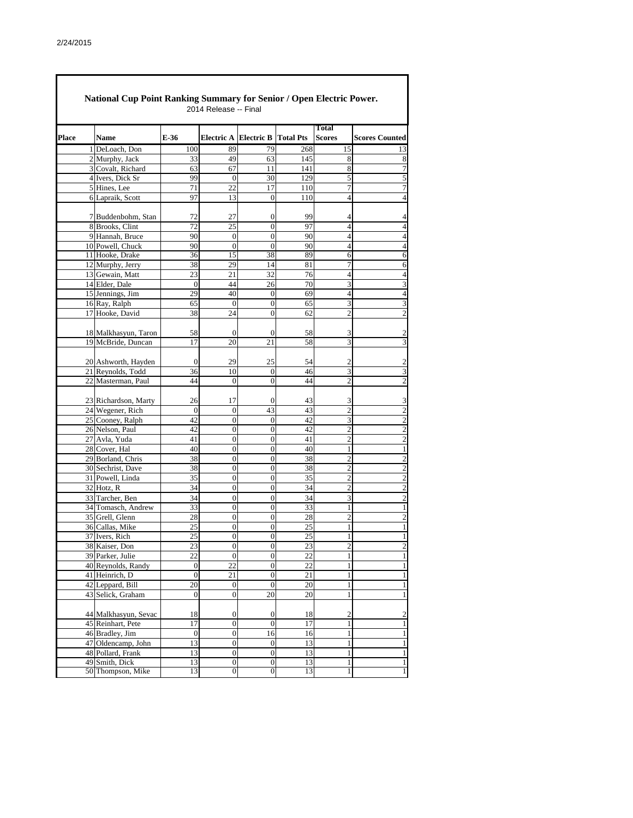|              | <b>National Cup Point Ranking Summary for Senior / Open Electric Power.</b> |                    | 2014 Release -- Final  |                                      |          |                               |                                |
|--------------|-----------------------------------------------------------------------------|--------------------|------------------------|--------------------------------------|----------|-------------------------------|--------------------------------|
| <b>Place</b> | Name                                                                        | E-36               |                        | Electric A Electric B Total Pts      |          | <b>Total</b><br><b>Scores</b> | <b>Scores Counted</b>          |
|              | 1 DeLoach, Don                                                              | 100                | 89                     | 79                                   | 268      | 15                            | 13                             |
|              | 2 Murphy, Jack                                                              | 33                 | 49                     | 63                                   | 145      | 8                             | 8                              |
|              | 3 Covalt, Richard                                                           | 63                 | 67                     | 11                                   | 141      | 8                             | $\overline{7}$                 |
|              | 4 Ivers, Dick Sr                                                            | 99                 | $\boldsymbol{0}$       | 30                                   | 129      | 5                             | 5                              |
|              | 5 Hines, Lee                                                                | 71                 | 22                     | 17                                   | 110      | $\overline{7}$                | 7                              |
|              | 6 Lapraik, Scott                                                            | 97                 | 13                     | $\mathbf{0}$                         | 110      | 4                             | $\overline{4}$                 |
|              |                                                                             |                    |                        |                                      |          |                               |                                |
|              | 7 Buddenbohm, Stan                                                          | 72                 | 27                     | 0                                    | 99       | 4                             | 4                              |
|              | 8 Brooks, Clint                                                             | 72                 | 25                     | $\overline{0}$                       | 97       | $\overline{4}$                | $\overline{4}$                 |
|              | 9 Hannah, Bruce                                                             | 90                 | $\mathbf{0}$           | $\overline{0}$                       | 90       | $\overline{4}$                | $\overline{4}$                 |
|              | 10 Powell, Chuck                                                            | 90                 | $\overline{0}$         | $\overline{0}$                       | 90       | $\overline{4}$                | $\overline{4}$                 |
|              | 11 Hooke, Drake                                                             | 36                 | 15                     | 38                                   | 89       | 6                             | 6                              |
|              | 12 Murphy, Jerry<br>13 Gewain, Matt                                         | 38                 | 29                     | 14                                   | 81<br>76 | 7<br>$\overline{4}$           | 6<br>$\overline{4}$            |
|              | 14 Elder, Dale                                                              | 23<br>$\mathbf{0}$ | 21<br>44               | 32                                   | 70       | 3                             | 3                              |
|              | 15 Jennings, Jim                                                            | 29                 | 40                     | 26<br>$\boldsymbol{0}$               | 69       | 4                             | $\overline{4}$                 |
|              | 16 Ray, Ralph                                                               | 65                 | $\mathbf{0}$           | $\boldsymbol{0}$                     | 65       | 3                             | 3                              |
|              | 17 Hooke, David                                                             | 38                 | 24                     | $\overline{0}$                       | 62       | $\overline{2}$                | $\overline{c}$                 |
|              |                                                                             |                    |                        |                                      |          |                               |                                |
|              | 18 Malkhasyun, Taron                                                        | 58                 | 0                      | $\mathbf{0}$                         | 58       | 3                             | 2                              |
|              | 19 McBride, Duncan                                                          | 17                 | 20                     | 21                                   | 58       | 3                             | 3                              |
|              |                                                                             |                    |                        |                                      |          |                               |                                |
|              | 20 Ashworth, Hayden                                                         | $\theta$           | 29                     | 25                                   | 54       | 2                             | $\overline{2}$                 |
|              | 21 Reynolds, Todd                                                           | 36                 | 10                     | $\mathbf{0}$                         | 46       | 3                             | 3                              |
|              | 22 Masterman, Paul                                                          | 44                 | $\mathbf{0}$           | $\overline{0}$                       | 44       | $\overline{c}$                | $\overline{2}$                 |
|              |                                                                             |                    |                        |                                      |          |                               |                                |
|              | 23 Richardson, Marty                                                        | 26                 | 17                     | $\mathbf{0}$                         | 43       | 3                             | 3                              |
|              | 24 Wegener, Rich                                                            | $\boldsymbol{0}$   | $\boldsymbol{0}$       | 43                                   | 43       | $\overline{2}$                | $\overline{c}$                 |
|              | 25 Cooney, Ralph                                                            | 42                 | $\boldsymbol{0}$       | $\boldsymbol{0}$                     | 42       | 3                             | $\overline{2}$                 |
|              | 26 Nelson, Paul                                                             | 42                 | $\boldsymbol{0}$       | $\mathbf{0}$                         | 42       | $\overline{c}$                | $\overline{c}$                 |
|              | 27 Avla, Yuda                                                               | 41                 | $\overline{0}$         | 0                                    | 41       | $\overline{c}$                | $\overline{2}$                 |
|              | 28 Cover, Hal                                                               | 40                 | $\boldsymbol{0}$       | $\mathbf{0}$                         | 40       | $\mathbf{1}$                  | 1                              |
|              | 29 Borland, Chris                                                           | 38                 | $\boldsymbol{0}$       | $\boldsymbol{0}$                     | 38       | $\overline{c}$                | $\overline{2}$                 |
|              | 30 Sechrist, Dave                                                           | 38                 | $\overline{0}$         | $\overline{0}$                       | 38       | $\overline{c}$                | $\overline{2}$                 |
|              | 31 Powell, Linda                                                            | 35                 | $\boldsymbol{0}$       | $\boldsymbol{0}$                     | 35       | $\overline{2}$                | $\overline{2}$                 |
|              | 32 Hotz, R                                                                  | 34                 | $\boldsymbol{0}$       | $\boldsymbol{0}$                     | 34       | $\overline{c}$                | $\overline{c}$                 |
|              | 33 Tarcher, Ben                                                             | 34                 | $\boldsymbol{0}$       | $\boldsymbol{0}$                     | 34       | 3                             | $\overline{c}$                 |
|              | 34 Tomasch, Andrew                                                          | 33                 | $\boldsymbol{0}$       | $\boldsymbol{0}$                     | 33       | 1                             | 1                              |
|              | 35 Grell, Glenn                                                             | 28                 | $\boldsymbol{0}$       | $\boldsymbol{0}$                     | 28       | $\overline{2}$                | $\overline{c}$                 |
|              | 36 Callas, Mike                                                             | 25                 | $\mathbf{0}$           | $\overline{0}$                       | 25       | 1                             | 1                              |
|              | 37 Ivers, Rich                                                              | 25                 | $\boldsymbol{0}$       | $\boldsymbol{0}$                     | $25\,$   | 1                             | $\mathbf{1}$                   |
|              | 38 Kaiser, Don<br>39 Parker, Julie                                          | 23<br>22           | $\boldsymbol{0}$       | $\boldsymbol{0}$<br>$\boldsymbol{0}$ | 23<br>22 | $\mathbf{2}$                  | $\overline{2}$<br>$\mathbf{1}$ |
|              | 40 Reynolds, Randy                                                          | $\boldsymbol{0}$   | $\boldsymbol{0}$<br>22 | $\boldsymbol{0}$                     | 22       | $\mathbf{1}$<br>$\mathbf{1}$  | $\mathbf{1}$                   |
|              | 41 Heinrich, D                                                              | $\boldsymbol{0}$   | 21                     | $\boldsymbol{0}$                     | 21       | $\mathbf{1}$                  | $\,1\,$                        |
|              | 42 Leppard, Bill                                                            | 20                 | $\boldsymbol{0}$       | $\boldsymbol{0}$                     | 20       | $\mathbf{1}$                  | $\mathbf{1}$                   |
|              | 43 Selick, Graham                                                           | $\boldsymbol{0}$   | $\boldsymbol{0}$       | 20                                   | 20       | 1                             | $\mathbf{1}$                   |
|              |                                                                             |                    |                        |                                      |          |                               |                                |
|              | 44 Malkhasyun, Sevac                                                        | 18                 | $\boldsymbol{0}$       | $\boldsymbol{0}$                     | 18       | $\overline{c}$                | $\overline{c}$                 |
|              | 45 Reinhart, Pete                                                           | 17                 | $\boldsymbol{0}$       | $\mathbf{0}$                         | 17       | $\mathbf{1}$                  | $\mathbf{1}$                   |
|              | 46 Bradley, Jim                                                             | $\boldsymbol{0}$   | $\boldsymbol{0}$       | 16                                   | 16       | 1                             | $\mathbf{1}$                   |
|              | 47 Oldencamp, John                                                          | 13                 | $\boldsymbol{0}$       | $\mathbf{0}$                         | 13       | $\mathbf{1}$                  | $\mathbf{1}$                   |
|              | 48 Pollard, Frank                                                           | 13                 | $\boldsymbol{0}$       | $\overline{0}$                       | 13       | $\mathbf{1}$                  | $\mathbf{1}$                   |
|              | 49 Smith, Dick                                                              | 13                 | $\boldsymbol{0}$       | $\boldsymbol{0}$                     | 13       | 1                             | 1                              |
|              | 50 Thompson, Mike                                                           | 13                 | $\overline{0}$         | $\overline{0}$                       | 13       | 1                             | $\mathbf{1}$                   |
|              |                                                                             |                    |                        |                                      |          |                               |                                |